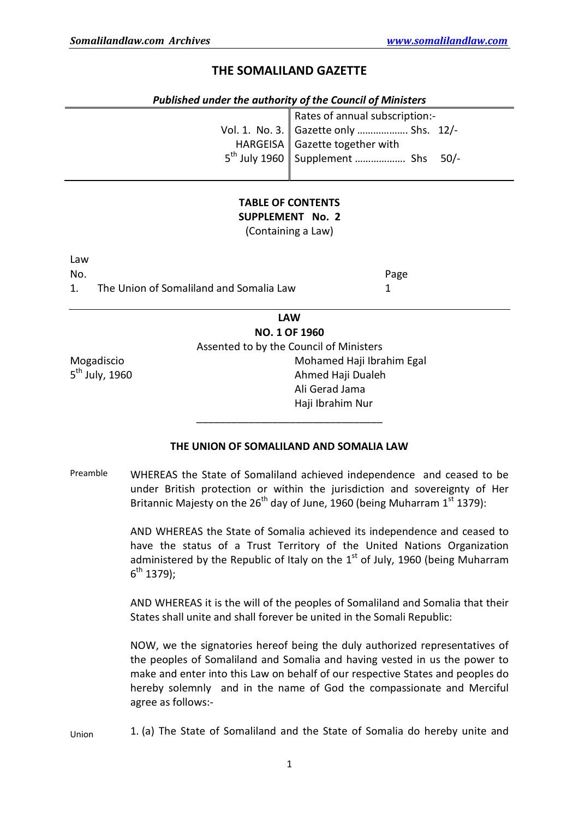## **THE SOMALILAND GAZETTE**

| <b>Published under the authority of the Council of Ministers</b> |                                  |
|------------------------------------------------------------------|----------------------------------|
|                                                                  | Rates of annual subscription:-   |
| Vol. 1. No. 3.                                                   | Gazette only  Shs. 12/-          |
|                                                                  | HARGEISA   Gazette together with |
| $5^{\text{th}}$ July 1960                                        | Supplement  Shs<br>$50/-$        |
|                                                                  |                                  |
|                                                                  |                                  |
| <b>TABLE OF CONTENTS</b>                                         |                                  |
| SUPPLEMENT No. 2                                                 |                                  |
|                                                                  | (Containing a Law)               |
|                                                                  |                                  |
| Law                                                              |                                  |
| No.                                                              | Page                             |
| 1.<br>The Union of Somaliland and Somalia Law                    | 1                                |
| <b>LAW</b>                                                       |                                  |
| <b>NO. 1 OF 1960</b>                                             |                                  |
| Assented to by the Council of Ministers                          |                                  |
| Mogadiscio                                                       | Mohamed Haji Ibrahim Egal        |
| 5 <sup>th</sup> July, 1960<br>Ahmed Haji Dualeh                  |                                  |
| Ali Gerad Jama                                                   |                                  |
|                                                                  | Haji Ibrahim Nur                 |
|                                                                  |                                  |
|                                                                  |                                  |

## *Published under the authority of the Council of Ministers*

## **THE UNION OF SOMALILAND AND SOMALIA LAW**

Preamble WHEREAS the State of Somaliland achieved independence and ceased to be under British protection or within the jurisdiction and sovereignty of Her Britannic Majesty on the 26<sup>th</sup> day of June, 1960 (being Muharram  $1<sup>st</sup>$  1379):

> AND WHEREAS the State of Somalia achieved its independence and ceased to have the status of a Trust Territory of the United Nations Organization administered by the Republic of Italy on the  $1<sup>st</sup>$  of July, 1960 (being Muharram  $6^{th}$  1379);

> AND WHEREAS it is the will of the peoples of Somaliland and Somalia that their States shall unite and shall forever be united in the Somali Republic:

> NOW, we the signatories hereof being the duly authorized representatives of the peoples of Somaliland and Somalia and having vested in us the power to make and enter into this Law on behalf of our respective States and peoples do hereby solemnly and in the name of God the compassionate and Merciful agree as follows:-

Union 1. (a) The State of Somaliland and the State of Somalia do hereby unite and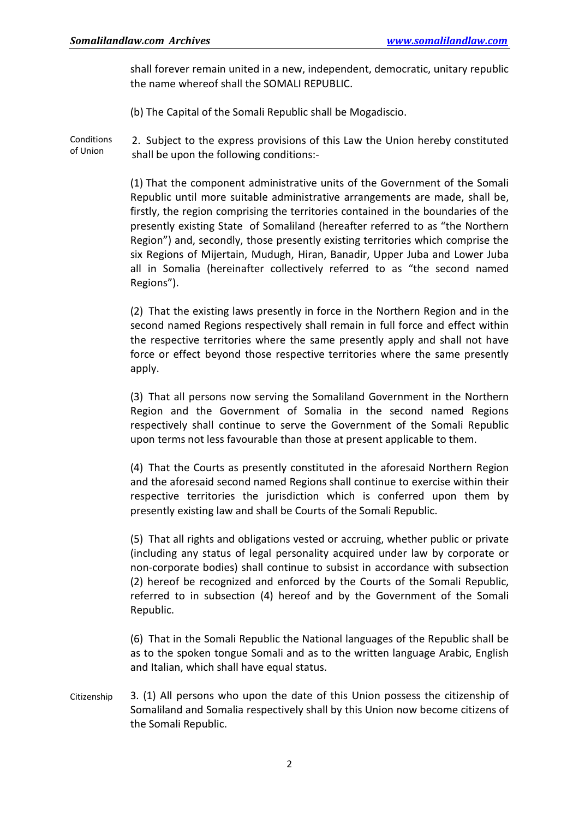shall forever remain united in a new, independent, democratic, unitary republic the name whereof shall the SOMALI REPUBLIC.

(b) The Capital of the Somali Republic shall be Mogadiscio.

Conditions of Union 2. Subject to the express provisions of this Law the Union hereby constituted shall be upon the following conditions:-

> (1) That the component administrative units of the Government of the Somali Republic until more suitable administrative arrangements are made, shall be, firstly, the region comprising the territories contained in the boundaries of the presently existing State of Somaliland (hereafter referred to as "the Northern Region") and, secondly, those presently existing territories which comprise the six Regions of Mijertain, Mudugh, Hiran, Banadir, Upper Juba and Lower Juba all in Somalia (hereinafter collectively referred to as "the second named Regions").

> (2) That the existing laws presently in force in the Northern Region and in the second named Regions respectively shall remain in full force and effect within the respective territories where the same presently apply and shall not have force or effect beyond those respective territories where the same presently apply.

> (3) That all persons now serving the Somaliland Government in the Northern Region and the Government of Somalia in the second named Regions respectively shall continue to serve the Government of the Somali Republic upon terms not less favourable than those at present applicable to them.

> (4) That the Courts as presently constituted in the aforesaid Northern Region and the aforesaid second named Regions shall continue to exercise within their respective territories the jurisdiction which is conferred upon them by presently existing law and shall be Courts of the Somali Republic.

> (5) That all rights and obligations vested or accruing, whether public or private (including any status of legal personality acquired under law by corporate or non-corporate bodies) shall continue to subsist in accordance with subsection (2) hereof be recognized and enforced by the Courts of the Somali Republic, referred to in subsection (4) hereof and by the Government of the Somali Republic.

> (6) That in the Somali Republic the National languages of the Republic shall be as to the spoken tongue Somali and as to the written language Arabic, English and Italian, which shall have equal status.

Citizenship 3. (1) All persons who upon the date of this Union possess the citizenship of Somaliland and Somalia respectively shall by this Union now become citizens of the Somali Republic.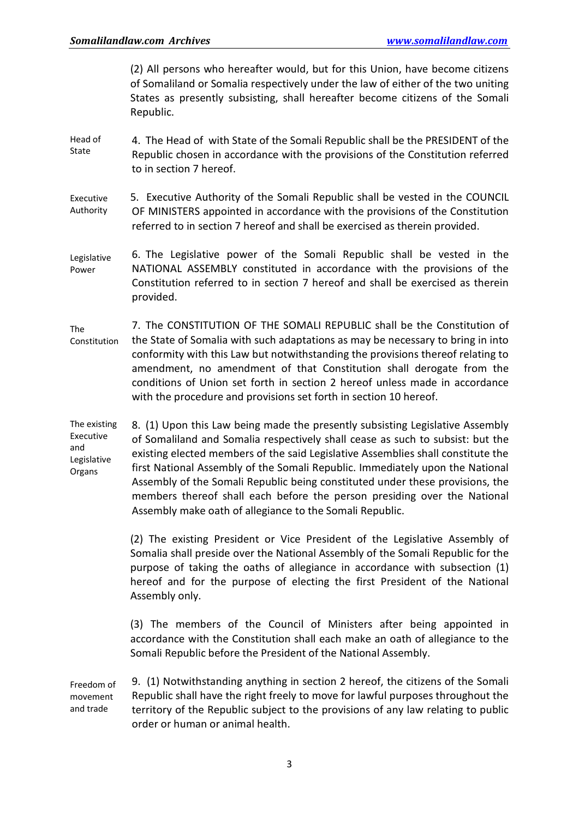(2) All persons who hereafter would, but for this Union, have become citizens of Somaliland or Somalia respectively under the law of either of the two uniting States as presently subsisting, shall hereafter become citizens of the Somali Republic.

- Head of State 4. The Head of with State of the Somali Republic shall be the PRESIDENT of the Republic chosen in accordance with the provisions of the Constitution referred to in section 7 hereof.
- Executive Authority 5. Executive Authority of the Somali Republic shall be vested in the COUNCIL OF MINISTERS appointed in accordance with the provisions of the Constitution referred to in section 7 hereof and shall be exercised as therein provided.
- Legislative Power 6. The Legislative power of the Somali Republic shall be vested in the NATIONAL ASSEMBLY constituted in accordance with the provisions of the Constitution referred to in section 7 hereof and shall be exercised as therein provided.
- The Constitution 7. The CONSTITUTION OF THE SOMALI REPUBLIC shall be the Constitution of the State of Somalia with such adaptations as may be necessary to bring in into conformity with this Law but notwithstanding the provisions thereof relating to amendment, no amendment of that Constitution shall derogate from the conditions of Union set forth in section 2 hereof unless made in accordance with the procedure and provisions set forth in section 10 hereof.
- The existing Executive and Legislative Organs 8. (1) Upon this Law being made the presently subsisting Legislative Assembly of Somaliland and Somalia respectively shall cease as such to subsist: but the existing elected members of the said Legislative Assemblies shall constitute the first National Assembly of the Somali Republic. Immediately upon the National Assembly of the Somali Republic being constituted under these provisions, the members thereof shall each before the person presiding over the National Assembly make oath of allegiance to the Somali Republic.

(2) The existing President or Vice President of the Legislative Assembly of Somalia shall preside over the National Assembly of the Somali Republic for the purpose of taking the oaths of allegiance in accordance with subsection (1) hereof and for the purpose of electing the first President of the National Assembly only.

(3) The members of the Council of Ministers after being appointed in accordance with the Constitution shall each make an oath of allegiance to the Somali Republic before the President of the National Assembly.

Freedom of movement and trade 9. (1) Notwithstanding anything in section 2 hereof, the citizens of the Somali Republic shall have the right freely to move for lawful purposes throughout the territory of the Republic subject to the provisions of any law relating to public order or human or animal health.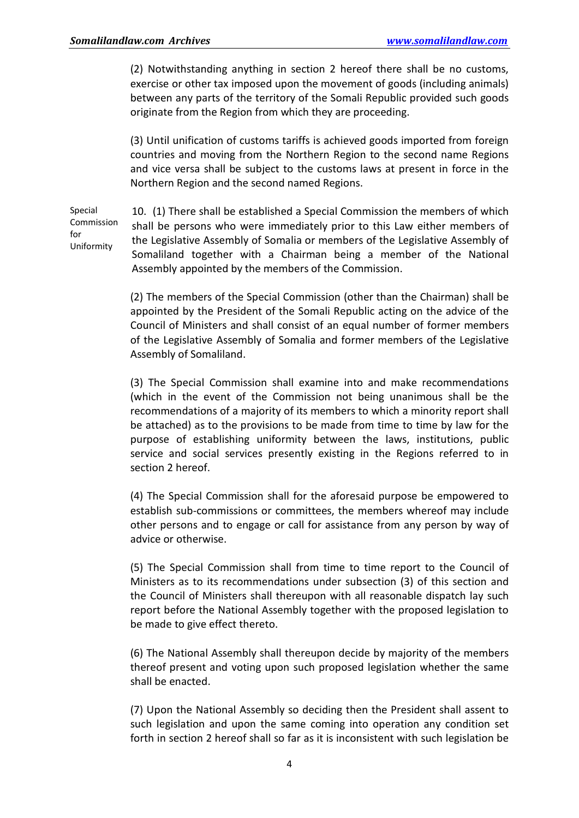for

(2) Notwithstanding anything in section 2 hereof there shall be no customs, exercise or other tax imposed upon the movement of goods (including animals) between any parts of the territory of the Somali Republic provided such goods originate from the Region from which they are proceeding.

(3) Until unification of customs tariffs is achieved goods imported from foreign countries and moving from the Northern Region to the second name Regions and vice versa shall be subject to the customs laws at present in force in the Northern Region and the second named Regions.

Special Commission Uniformity 10. (1) There shall be established a Special Commission the members of which shall be persons who were immediately prior to this Law either members of the Legislative Assembly of Somalia or members of the Legislative Assembly of Somaliland together with a Chairman being a member of the National Assembly appointed by the members of the Commission.

> (2) The members of the Special Commission (other than the Chairman) shall be appointed by the President of the Somali Republic acting on the advice of the Council of Ministers and shall consist of an equal number of former members of the Legislative Assembly of Somalia and former members of the Legislative Assembly of Somaliland.

> (3) The Special Commission shall examine into and make recommendations (which in the event of the Commission not being unanimous shall be the recommendations of a majority of its members to which a minority report shall be attached) as to the provisions to be made from time to time by law for the purpose of establishing uniformity between the laws, institutions, public service and social services presently existing in the Regions referred to in section 2 hereof.

> (4) The Special Commission shall for the aforesaid purpose be empowered to establish sub-commissions or committees, the members whereof may include other persons and to engage or call for assistance from any person by way of advice or otherwise.

> (5) The Special Commission shall from time to time report to the Council of Ministers as to its recommendations under subsection (3) of this section and the Council of Ministers shall thereupon with all reasonable dispatch lay such report before the National Assembly together with the proposed legislation to be made to give effect thereto.

> (6) The National Assembly shall thereupon decide by majority of the members thereof present and voting upon such proposed legislation whether the same shall be enacted.

> (7) Upon the National Assembly so deciding then the President shall assent to such legislation and upon the same coming into operation any condition set forth in section 2 hereof shall so far as it is inconsistent with such legislation be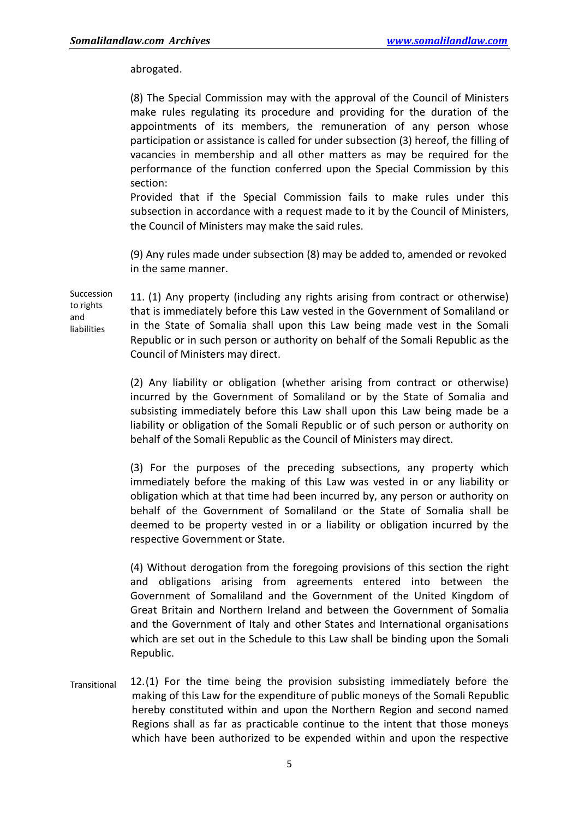abrogated.

(8) The Special Commission may with the approval of the Council of Ministers make rules regulating its procedure and providing for the duration of the appointments of its members, the remuneration of any person whose participation or assistance is called for under subsection (3) hereof, the filling of vacancies in membership and all other matters as may be required for the performance of the function conferred upon the Special Commission by this section:

Provided that if the Special Commission fails to make rules under this subsection in accordance with a request made to it by the Council of Ministers, the Council of Ministers may make the said rules.

(9) Any rules made under subsection (8) may be added to, amended or revoked in the same manner.

Succession to rights and liabilities 11. (1) Any property (including any rights arising from contract or otherwise) that is immediately before this Law vested in the Government of Somaliland or in the State of Somalia shall upon this Law being made vest in the Somali Republic or in such person or authority on behalf of the Somali Republic as the Council of Ministers may direct.

> (2) Any liability or obligation (whether arising from contract or otherwise) incurred by the Government of Somaliland or by the State of Somalia and subsisting immediately before this Law shall upon this Law being made be a liability or obligation of the Somali Republic or of such person or authority on behalf of the Somali Republic as the Council of Ministers may direct.

> (3) For the purposes of the preceding subsections, any property which immediately before the making of this Law was vested in or any liability or obligation which at that time had been incurred by, any person or authority on behalf of the Government of Somaliland or the State of Somalia shall be deemed to be property vested in or a liability or obligation incurred by the respective Government or State.

> (4) Without derogation from the foregoing provisions of this section the right and obligations arising from agreements entered into between the Government of Somaliland and the Government of the United Kingdom of Great Britain and Northern Ireland and between the Government of Somalia and the Government of Italy and other States and International organisations which are set out in the Schedule to this Law shall be binding upon the Somali Republic.

**Transitional** 12.(1) For the time being the provision subsisting immediately before the making of this Law for the expenditure of public moneys of the Somali Republic hereby constituted within and upon the Northern Region and second named Regions shall as far as practicable continue to the intent that those moneys which have been authorized to be expended within and upon the respective